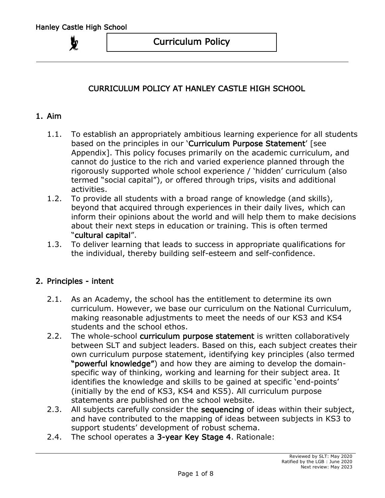# CURRICULUM POLICY AT HANLEY CASTLE HIGH SCHOOL

## 1. Aim

- 1.1. To establish an appropriately ambitious learning experience for all students based on the principles in our 'Curriculum Purpose Statement' [see Appendix]. This policy focuses primarily on the academic curriculum, and cannot do justice to the rich and varied experience planned through the rigorously supported whole school experience / 'hidden' curriculum (also termed "social capital"), or offered through trips, visits and additional activities.
- 1.2. To provide all students with a broad range of knowledge (and skills), beyond that acquired through experiences in their daily lives, which can inform their opinions about the world and will help them to make decisions about their next steps in education or training. This is often termed "cultural capital".
- 1.3. To deliver learning that leads to success in appropriate qualifications for the individual, thereby building self-esteem and self-confidence.

## 2. Principles - intent

- 2.1. As an Academy, the school has the entitlement to determine its own curriculum. However, we base our curriculum on the National Curriculum, making reasonable adjustments to meet the needs of our KS3 and KS4 students and the school ethos.
- 2.2. The whole-school curriculum purpose statement is written collaboratively between SLT and subject leaders. Based on this, each subject creates their own curriculum purpose statement, identifying key principles (also termed "powerful knowledge") and how they are aiming to develop the domainspecific way of thinking, working and learning for their subject area. It identifies the knowledge and skills to be gained at specific 'end-points' (initially by the end of KS3, KS4 and KS5). All curriculum purpose statements are published on the school website.
- 2.3. All subjects carefully consider the sequencing of ideas within their subject, and have contributed to the mapping of ideas between subjects in KS3 to support students' development of robust schema.
- 2.4. The school operates a 3-year Key Stage 4. Rationale: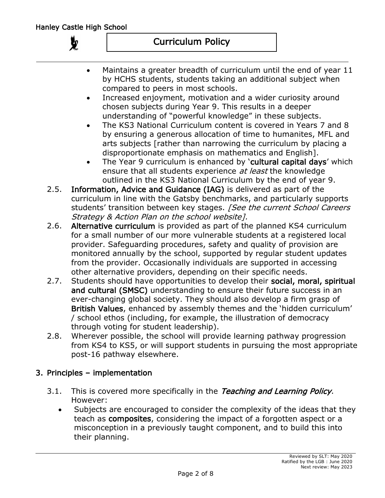$\boldsymbol{y}$ 

- Maintains a greater breadth of curriculum until the end of year 11 by HCHS students, students taking an additional subject when compared to peers in most schools.
- Increased enjoyment, motivation and a wider curiosity around chosen subjects during Year 9. This results in a deeper understanding of "powerful knowledge" in these subjects.
- The KS3 National Curriculum content is covered in Years 7 and 8 by ensuring a generous allocation of time to humanites, MFL and arts subjects [rather than narrowing the curriculum by placing a disproportionate emphasis on mathematics and English].
- The Year 9 curriculum is enhanced by 'cultural capital days' which ensure that all students experience at least the knowledge outlined in the KS3 National Curriculum by the end of year 9.
- 2.5. Information, Advice and Guidance (IAG) is delivered as part of the curriculum in line with the Gatsby benchmarks, and particularly supports students' transition between key stages. [See the current School Careers Strategy & Action Plan on the school website].
- 2.6. Alternative curriculum is provided as part of the planned KS4 curriculum for a small number of our more vulnerable students at a registered local provider. Safeguarding procedures, safety and quality of provision are monitored annually by the school, supported by regular student updates from the provider. Occasionally individuals are supported in accessing other alternative providers, depending on their specific needs.
- 2.7. Students should have opportunities to develop their social, moral, spiritual and cultural (SMSC) understanding to ensure their future success in an ever-changing global society. They should also develop a firm grasp of British Values, enhanced by assembly themes and the 'hidden curriculum' / school ethos (including, for example, the illustration of democracy through voting for student leadership).
- 2.8. Wherever possible, the school will provide learning pathway progression from KS4 to KS5, or will support students in pursuing the most appropriate post-16 pathway elsewhere.

# 3. Principles – implementation

- 3.1. This is covered more specifically in the Teaching and Learning Policy. However:
	- Subjects are encouraged to consider the complexity of the ideas that they teach as composites, considering the impact of a forgotten aspect or a misconception in a previously taught component, and to build this into their planning.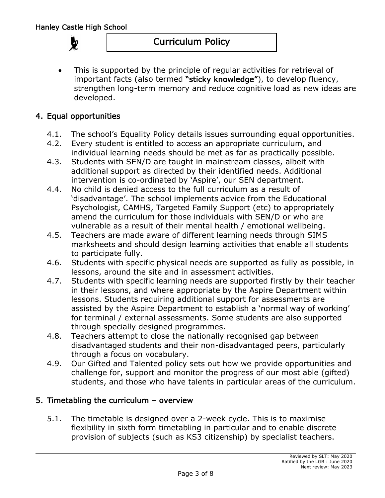• This is supported by the principle of regular activities for retrieval of important facts (also termed "sticky knowledge"), to develop fluency, strengthen long-term memory and reduce cognitive load as new ideas are developed.

## 4. Equal opportunities

- 4.1. The school's Equality Policy details issues surrounding equal opportunities.
- 4.2. Every student is entitled to access an appropriate curriculum, and individual learning needs should be met as far as practically possible.
- 4.3. Students with SEN/D are taught in mainstream classes, albeit with additional support as directed by their identified needs. Additional intervention is co-ordinated by 'Aspire', our SEN department.
- 4.4. No child is denied access to the full curriculum as a result of 'disadvantage'. The school implements advice from the Educational Psychologist, CAMHS, Targeted Family Support (etc) to appropriately amend the curriculum for those individuals with SEN/D or who are vulnerable as a result of their mental health / emotional wellbeing.
- 4.5. Teachers are made aware of different learning needs through SIMS marksheets and should design learning activities that enable all students to participate fully.
- 4.6. Students with specific physical needs are supported as fully as possible, in lessons, around the site and in assessment activities.
- 4.7. Students with specific learning needs are supported firstly by their teacher in their lessons, and where appropriate by the Aspire Department within lessons. Students requiring additional support for assessments are assisted by the Aspire Department to establish a 'normal way of working' for terminal / external assessments. Some students are also supported through specially designed programmes.
- 4.8. Teachers attempt to close the nationally recognised gap between disadvantaged students and their non-disadvantaged peers, particularly through a focus on vocabulary.
- 4.9. Our Gifted and Talented policy sets out how we provide opportunities and challenge for, support and monitor the progress of our most able (gifted) students, and those who have talents in particular areas of the curriculum.

# 5. Timetabling the curriculum – overview

5.1. The timetable is designed over a 2-week cycle. This is to maximise flexibility in sixth form timetabling in particular and to enable discrete provision of subjects (such as KS3 citizenship) by specialist teachers.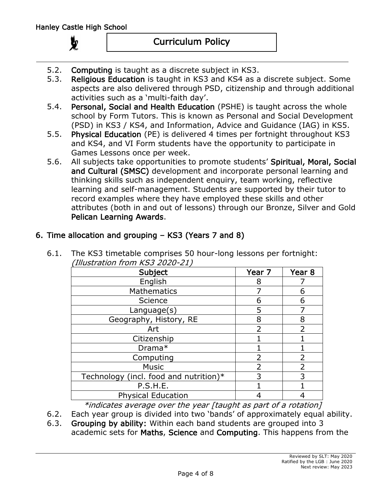# Curriculum Policy

- 5.2. Computing is taught as a discrete subject in KS3.
- 5.3. Religious Education is taught in KS3 and KS4 as a discrete subject. Some aspects are also delivered through PSD, citizenship and through additional activities such as a 'multi-faith day'.
- 5.4. Personal, Social and Health Education (PSHE) is taught across the whole school by Form Tutors. This is known as Personal and Social Development (PSD) in KS3 / KS4, and Information, Advice and Guidance (IAG) in KS5.
- 5.5. Physical Education (PE) is delivered 4 times per fortnight throughout KS3 and KS4, and VI Form students have the opportunity to participate in Games Lessons once per week.
- 5.6. All subjects take opportunities to promote students' Spiritual, Moral, Social and Cultural (SMSC) development and incorporate personal learning and thinking skills such as independent enquiry, team working, reflective learning and self-management. Students are supported by their tutor to record examples where they have employed these skills and other attributes (both in and out of lessons) through our Bronze, Silver and Gold Pelican Learning Awards.

# 6. Time allocation and grouping – KS3 (Years 7 and 8)

| (Illustration from KS3 2020-21)                                                                                |                          |                   |
|----------------------------------------------------------------------------------------------------------------|--------------------------|-------------------|
| Subject                                                                                                        | Year 7                   | Year <sub>8</sub> |
| English                                                                                                        | 8                        |                   |
| <b>Mathematics</b>                                                                                             |                          | 6                 |
| Science                                                                                                        | 6                        | 6                 |
| Language(s)                                                                                                    | 5                        |                   |
| Geography, History, RE                                                                                         | 8                        | 8                 |
| Art                                                                                                            | $\overline{\mathcal{L}}$ |                   |
| Citizenship                                                                                                    |                          |                   |
| Drama*                                                                                                         |                          |                   |
| Computing                                                                                                      | $\overline{2}$           |                   |
| <b>Music</b>                                                                                                   | $\overline{2}$           |                   |
| Technology (incl. food and nutrition) $*$                                                                      | 3                        | 3                 |
| P.S.H.E.                                                                                                       |                          |                   |
| <b>Physical Education</b>                                                                                      |                          |                   |
| version of the contract of the contract of the contract of the contract of the contract of the contract of the |                          |                   |

6.1. The KS3 timetable comprises 50 hour-long lessons per fortnight:

 $*$ indicates average over the year [taught as part of a rotation]

- 6.2. Each year group is divided into two 'bands' of approximately equal ability.
- 6.3. Grouping by ability: Within each band students are grouped into 3 academic sets for Maths, Science and Computing. This happens from the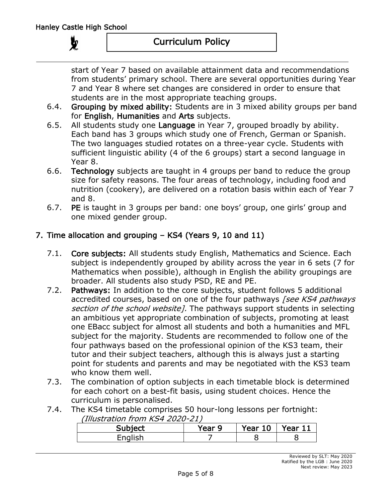start of Year 7 based on available attainment data and recommendations from students' primary school. There are several opportunities during Year 7 and Year 8 where set changes are considered in order to ensure that students are in the most appropriate teaching groups.

- 6.4. Grouping by mixed ability: Students are in 3 mixed ability groups per band for English, Humanities and Arts subjects.
- 6.5. All students study one Language in Year 7, grouped broadly by ability. Each band has 3 groups which study one of French, German or Spanish. The two languages studied rotates on a three-year cycle. Students with sufficient linguistic ability (4 of the 6 groups) start a second language in Year 8.
- 6.6. Technology subjects are taught in 4 groups per band to reduce the group size for safety reasons. The four areas of technology, including food and nutrition (cookery), are delivered on a rotation basis within each of Year 7 and 8.
- 6.7. PE is taught in 3 groups per band: one boys' group, one girls' group and one mixed gender group.

# 7. Time allocation and grouping – KS4 (Years 9, 10 and 11)

- 7.1. Core subjects: All students study English, Mathematics and Science. Each subject is independently grouped by ability across the year in 6 sets (7 for Mathematics when possible), although in English the ability groupings are broader. All students also study PSD, RE and PE.
- 7.2. Pathways: In addition to the core subjects, student follows 5 additional accredited courses, based on one of the four pathways [see KS4 pathways] section of the school website]. The pathways support students in selecting an ambitious yet appropriate combination of subjects, promoting at least one EBacc subject for almost all students and both a humanities and MFL subject for the majority. Students are recommended to follow one of the four pathways based on the professional opinion of the KS3 team, their tutor and their subject teachers, although this is always just a starting point for students and parents and may be negotiated with the KS3 team who know them well.
- 7.3. The combination of option subjects in each timetable block is determined for each cohort on a best-fit basis, using student choices. Hence the curriculum is personalised.
- 7.4. The KS4 timetable comprises 50 hour-long lessons per fortnight: (Illustration from KS4 2020-21)

| $C1$ internet | Year 9 | Year 10 | Year 11 |
|---------------|--------|---------|---------|
| Enalich       |        |         |         |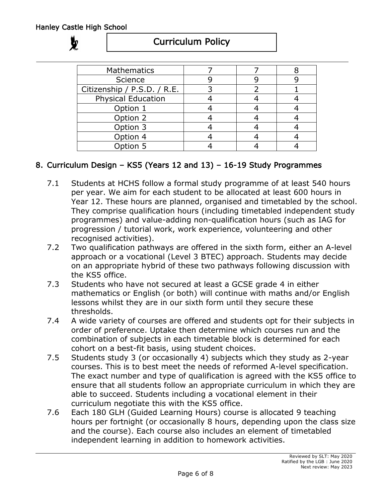

# Curriculum Policy

| <b>Mathematics</b>          |  |  |
|-----------------------------|--|--|
| Science                     |  |  |
| Citizenship / P.S.D. / R.E. |  |  |
| <b>Physical Education</b>   |  |  |
| Option 1                    |  |  |
| Option 2                    |  |  |
| Option 3                    |  |  |
| Option 4                    |  |  |
| Option 5                    |  |  |

# 8. Curriculum Design – KS5 (Years 12 and 13) – 16-19 Study Programmes

- 7.1 Students at HCHS follow a formal study programme of at least 540 hours per year. We aim for each student to be allocated at least 600 hours in Year 12. These hours are planned, organised and timetabled by the school. They comprise qualification hours (including timetabled independent study programmes) and value-adding non-qualification hours (such as IAG for progression / tutorial work, work experience, volunteering and other recognised activities).
- 7.2 Two qualification pathways are offered in the sixth form, either an A-level approach or a vocational (Level 3 BTEC) approach. Students may decide on an appropriate hybrid of these two pathways following discussion with the KS5 office.
- 7.3 Students who have not secured at least a GCSE grade 4 in either mathematics or English (or both) will continue with maths and/or English lessons whilst they are in our sixth form until they secure these thresholds.
- 7.4 A wide variety of courses are offered and students opt for their subjects in order of preference. Uptake then determine which courses run and the combination of subjects in each timetable block is determined for each cohort on a best-fit basis, using student choices.
- 7.5 Students study 3 (or occasionally 4) subjects which they study as 2-year courses. This is to best meet the needs of reformed A-level specification. The exact number and type of qualification is agreed with the KS5 office to ensure that all students follow an appropriate curriculum in which they are able to succeed. Students including a vocational element in their curriculum negotiate this with the KS5 office.
- 7.6 Each 180 GLH (Guided Learning Hours) course is allocated 9 teaching hours per fortnight (or occasionally 8 hours, depending upon the class size and the course). Each course also includes an element of timetabled independent learning in addition to homework activities.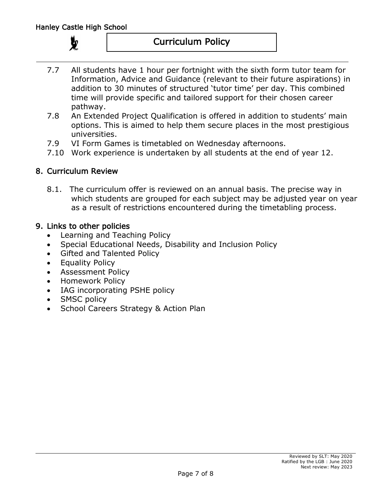- 7.7 All students have 1 hour per fortnight with the sixth form tutor team for Information, Advice and Guidance (relevant to their future aspirations) in addition to 30 minutes of structured 'tutor time' per day. This combined time will provide specific and tailored support for their chosen career pathway.
- 7.8 An Extended Project Qualification is offered in addition to students' main options. This is aimed to help them secure places in the most prestigious universities.
- 7.9 VI Form Games is timetabled on Wednesday afternoons.
- 7.10 Work experience is undertaken by all students at the end of year 12.

## 8. Curriculum Review

8.1. The curriculum offer is reviewed on an annual basis. The precise way in which students are grouped for each subject may be adjusted year on year as a result of restrictions encountered during the timetabling process.

## 9. Links to other policies

- Learning and Teaching Policy
- Special Educational Needs, Disability and Inclusion Policy
- Gifted and Talented Policy
- Equality Policy
- Assessment Policy
- Homework Policy
- IAG incorporating PSHE policy
- SMSC policy
- School Careers Strategy & Action Plan